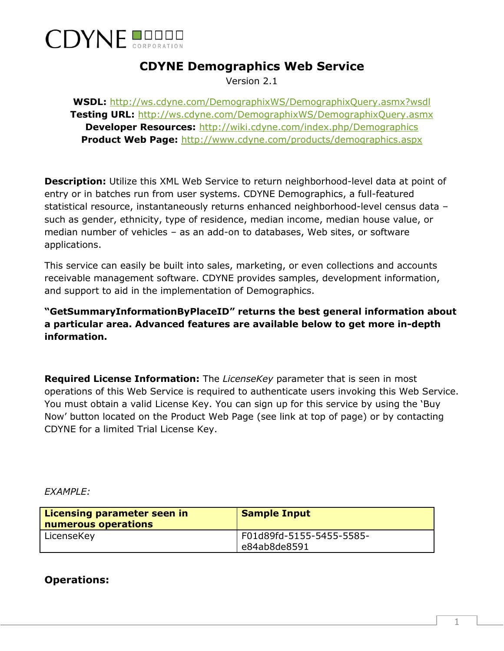

## **CDYNE Demographics Web Service**

Version 2.1

**WSDL:** <http://ws.cdyne.com/DemographixWS/DemographixQuery.asmx?wsdl> **Testing URL:** <http://ws.cdyne.com/DemographixWS/DemographixQuery.asmx> **Developer Resources:** <http://wiki.cdyne.com/index.php/Demographics> **Product Web Page:** <http://www.cdyne.com/products/demographics.aspx>

**Description:** Utilize this XML Web Service to return neighborhood-level data at point of entry or in batches run from user systems. CDYNE Demographics, a full-featured statistical resource, instantaneously returns enhanced neighborhood-level census data – such as gender, ethnicity, type of residence, median income, median house value, or median number of vehicles – as an add-on to databases, Web sites, or software applications.

This service can easily be built into sales, marketing, or even collections and accounts receivable management software. CDYNE provides samples, development information, and support to aid in the implementation of Demographics.

**"GetSummaryInformationByPlaceID" returns the best general information about a particular area. Advanced features are available below to get more in-depth information.**

**Required License Information:** The *LicenseKey* parameter that is seen in most operations of this Web Service is required to authenticate users invoking this Web Service. You must obtain a valid License Key. You can sign up for this service by using the 'Buy Now' button located on the Product Web Page (see link at top of page) or by contacting CDYNE for a limited Trial License Key.

#### *EXAMPLE:*

| Licensing parameter seen in<br>numerous operations | <b>Sample Input</b>                      |
|----------------------------------------------------|------------------------------------------|
| LicenseKey                                         | F01d89fd-5155-5455-5585-<br>e84ab8de8591 |

#### **Operations:**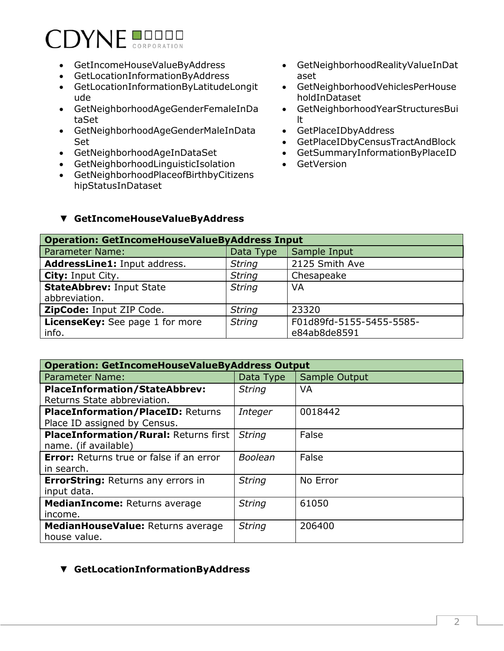# **CDYNE BUDDER**

- GetIncomeHouseValueByAddress
- GetLocationInformationByAddress
- GetLocationInformationByLatitudeLongit ude
- GetNeighborhoodAgeGenderFemaleInDa taSet
- GetNeighborhoodAgeGenderMaleInData Set
- GetNeighborhoodAgeInDataSet
- GetNeighborhoodLinguisticIsolation
- GetNeighborhoodPlaceofBirthbyCitizens hipStatusInDataset
- GetNeighborhoodRealityValueInDat aset
- GetNeighborhoodVehiclesPerHouse holdInDataset
- GetNeighborhoodYearStructuresBui lt
- GetPlaceIDbyAddress
- GetPlaceIDbyCensusTractAndBlock
- GetSummaryInformationByPlaceID
- GetVersion

#### ▼ **GetIncomeHouseValueByAddress**

| <b>Operation: GetIncomeHouseValueByAddress Input</b> |               |                                          |  |
|------------------------------------------------------|---------------|------------------------------------------|--|
| Parameter Name:                                      | Data Type     | Sample Input                             |  |
| AddressLine1: Input address.                         | <b>String</b> | 2125 Smith Ave                           |  |
| <b>City: Input City.</b>                             | <b>String</b> | Chesapeake                               |  |
| <b>StateAbbrev: Input State</b><br>abbreviation.     | <b>String</b> | VA                                       |  |
| ZipCode: Input ZIP Code.                             | <b>String</b> | 23320                                    |  |
| <b>LicenseKey:</b> See page 1 for more<br>info.      | <b>String</b> | F01d89fd-5155-5455-5585-<br>e84ab8de8591 |  |

| <b>Operation: GetIncomeHouseValueByAddress Output</b> |                |               |  |
|-------------------------------------------------------|----------------|---------------|--|
| <b>Parameter Name:</b>                                | Data Type      | Sample Output |  |
| <b>PlaceInformation/StateAbbrev:</b>                  | <b>String</b>  | <b>VA</b>     |  |
| Returns State abbreviation.                           |                |               |  |
| <b>PlaceInformation/PlaceID: Returns</b>              | Integer        | 0018442       |  |
| Place ID assigned by Census.                          |                |               |  |
| <b>PlaceInformation/Rural: Returns first</b>          | <b>String</b>  | False         |  |
| name. (if available)                                  |                |               |  |
| <b>Error:</b> Returns true or false if an error       | <b>Boolean</b> | False         |  |
| in search.                                            |                |               |  |
| <b>ErrorString: Returns any errors in</b>             | <b>String</b>  | No Error      |  |
| input data.                                           |                |               |  |
| MedianIncome: Returns average                         | <b>String</b>  | 61050         |  |
| income.                                               |                |               |  |
| MedianHouseValue: Returns average                     | <b>String</b>  | 206400        |  |
| house value.                                          |                |               |  |

#### ▼ **GetLocationInformationByAddress**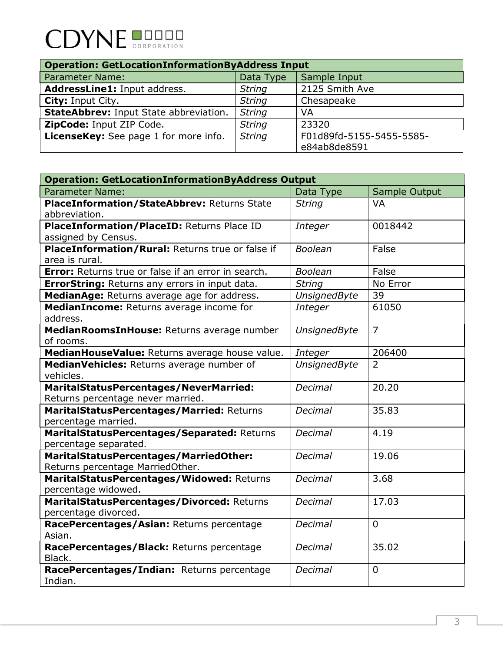# CDYNE **DODOD**

| <b>Operation: GetLocationInformationByAddress Input</b> |               |                                          |  |
|---------------------------------------------------------|---------------|------------------------------------------|--|
| <b>Parameter Name:</b>                                  | Data Type     | Sample Input                             |  |
| AddressLine1: Input address.                            | <b>String</b> | 2125 Smith Ave                           |  |
| <b>City: Input City.</b>                                | <b>String</b> | Chesapeake                               |  |
| <b>StateAbbrev: Input State abbreviation.</b>           | <b>String</b> | VA                                       |  |
| ZipCode: Input ZIP Code.                                | <b>String</b> | 23320                                    |  |
| LicenseKey: See page 1 for more info.                   | <b>String</b> | F01d89fd-5155-5455-5585-<br>e84ab8de8591 |  |

| <b>Operation: GetLocationInformationByAddress Output</b>   |                     |                |
|------------------------------------------------------------|---------------------|----------------|
| <b>Parameter Name:</b>                                     | Data Type           | Sample Output  |
| PlaceInformation/StateAbbrev: Returns State                | <b>String</b>       | <b>VA</b>      |
| abbreviation.                                              |                     |                |
| PlaceInformation/PlaceID: Returns Place ID                 | Integer             | 0018442        |
| assigned by Census.                                        |                     |                |
| PlaceInformation/Rural: Returns true or false if           | <b>Boolean</b>      | False          |
| area is rural.                                             |                     |                |
| <b>Error:</b> Returns true or false if an error in search. | <b>Boolean</b>      | False          |
| <b>ErrorString: Returns any errors in input data.</b>      | <b>String</b>       | No Error       |
| MedianAge: Returns average age for address.                | <b>UnsignedByte</b> | 39             |
| MedianIncome: Returns average income for                   | Integer             | 61050          |
| address.                                                   |                     |                |
| Median RoomsIn House: Returns average number               | <b>UnsignedByte</b> | $\overline{7}$ |
| of rooms.                                                  |                     |                |
| MedianHouseValue: Returns average house value.             | Integer             | 206400         |
| MedianVehicles: Returns average number of                  | <b>UnsignedByte</b> | $\overline{2}$ |
| vehicles.                                                  |                     |                |
| MaritalStatusPercentages/NeverMarried:                     | Decimal             | 20.20          |
| Returns percentage never married.                          |                     |                |
| MaritalStatusPercentages/Married: Returns                  | <b>Decimal</b>      | 35.83          |
| percentage married.                                        |                     |                |
| MaritalStatusPercentages/Separated: Returns                | <b>Decimal</b>      | 4.19           |
| percentage separated.                                      |                     |                |
| MaritalStatusPercentages/MarriedOther:                     | <b>Decimal</b>      | 19.06          |
| Returns percentage MarriedOther.                           |                     |                |
| MaritalStatusPercentages/Widowed: Returns                  | <b>Decimal</b>      | 3.68           |
| percentage widowed.                                        |                     |                |
| MaritalStatusPercentages/Divorced: Returns                 | <b>Decimal</b>      | 17.03          |
| percentage divorced.                                       |                     |                |
| RacePercentages/Asian: Returns percentage                  | <b>Decimal</b>      | $\overline{0}$ |
| Asian.                                                     |                     |                |
| RacePercentages/Black: Returns percentage                  | <b>Decimal</b>      | 35.02          |
| Black.                                                     |                     |                |
| RacePercentages/Indian: Returns percentage                 | <b>Decimal</b>      | $\Omega$       |
| Indian.                                                    |                     |                |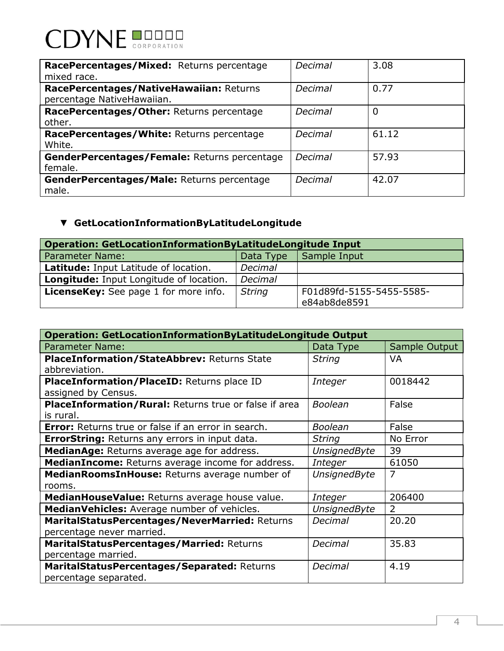| RacePercentages/Mixed: Returns percentage<br>mixed race.              | Decimal | 3.08  |
|-----------------------------------------------------------------------|---------|-------|
| RacePercentages/NativeHawaiian: Returns<br>percentage NativeHawaiian. | Decimal | 0.77  |
| RacePercentages/Other: Returns percentage<br>other.                   | Decimal | 0     |
| RacePercentages/White: Returns percentage<br>White.                   | Decimal | 61.12 |
| GenderPercentages/Female: Returns percentage<br>female.               | Decimal | 57.93 |
| GenderPercentages/Male: Returns percentage<br>male.                   | Decimal | 42.07 |

## ▼ **GetLocationInformationByLatitudeLongitude**

| <b>Operation: GetLocationInformationByLatitudeLongitude Input</b> |               |                                          |  |
|-------------------------------------------------------------------|---------------|------------------------------------------|--|
| <b>Parameter Name:</b>                                            | Data Type     | Sample Input                             |  |
| Latitude: Input Latitude of location.                             | Decimal       |                                          |  |
| <b>Longitude:</b> Input Longitude of location.                    | Decimal       |                                          |  |
| <b>LicenseKey:</b> See page 1 for more info.                      | <b>String</b> | F01d89fd-5155-5455-5585-<br>e84ab8de8591 |  |
|                                                                   |               |                                          |  |

| <b>Operation: GetLocationInformationByLatitudeLongitude Output</b> |                     |               |  |
|--------------------------------------------------------------------|---------------------|---------------|--|
| <b>Parameter Name:</b>                                             | Data Type           | Sample Output |  |
| <b>PlaceInformation/StateAbbrev: Returns State</b>                 | <b>String</b>       | VA            |  |
| abbreviation.                                                      |                     |               |  |
| PlaceInformation/PlaceID: Returns place ID                         | Integer             | 0018442       |  |
| assigned by Census.                                                |                     |               |  |
| PlaceInformation/Rural: Returns true or false if area              | <b>Boolean</b>      | False         |  |
| is rural.                                                          |                     |               |  |
| <b>Error:</b> Returns true or false if an error in search.         | <b>Boolean</b>      | False         |  |
| <b>ErrorString:</b> Returns any errors in input data.              | <b>String</b>       | No Error      |  |
| MedianAge: Returns average age for address.                        | <b>UnsignedByte</b> | 39            |  |
| MedianIncome: Returns average income for address.                  | Integer             | 61050         |  |
| Median RoomsIn House: Returns average number of                    | <b>UnsignedByte</b> | 7             |  |
| rooms.                                                             |                     |               |  |
| MedianHouseValue: Returns average house value.                     | Integer             | 206400        |  |
| MedianVehicles: Average number of vehicles.                        | <b>UnsignedByte</b> | 2             |  |
| MaritalStatusPercentages/NeverMarried: Returns                     | <b>Decimal</b>      | 20.20         |  |
| percentage never married.                                          |                     |               |  |
| MaritalStatusPercentages/Married: Returns                          | Decimal             | 35.83         |  |
| percentage married.                                                |                     |               |  |
| MaritalStatusPercentages/Separated: Returns                        | Decimal             | 4.19          |  |
| percentage separated.                                              |                     |               |  |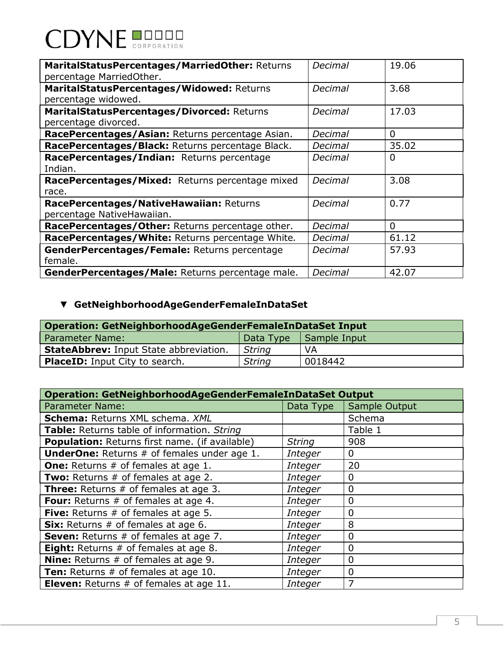# **CDYNE DODER**

| MaritalStatusPercentages/MarriedOther: Returns<br>percentage MarriedOther. | Decimal | 19.06       |
|----------------------------------------------------------------------------|---------|-------------|
| MaritalStatusPercentages/Widowed: Returns<br>percentage widowed.           | Decimal | 3.68        |
| MaritalStatusPercentages/Divorced: Returns<br>percentage divorced.         | Decimal | 17.03       |
| RacePercentages/Asian: Returns percentage Asian.                           | Decimal | 0           |
| RacePercentages/Black: Returns percentage Black.                           | Decimal | 35.02       |
| RacePercentages/Indian: Returns percentage<br>Indian.                      | Decimal | $\mathbf 0$ |
| RacePercentages/Mixed: Returns percentage mixed<br>race.                   | Decimal | 3.08        |
| RacePercentages/NativeHawaiian: Returns<br>percentage NativeHawaiian.      | Decimal | 0.77        |
| RacePercentages/Other: Returns percentage other.                           | Decimal | 0           |
| RacePercentages/White: Returns percentage White.                           | Decimal | 61.12       |
| GenderPercentages/Female: Returns percentage<br>female.                    | Decimal | 57.93       |
| GenderPercentages/Male: Returns percentage male.                           | Decimal | 42.07       |

# ▼ **GetNeighborhoodAgeGenderFemaleInDataSet**

| Operation: GetNeighborhoodAgeGenderFemaleInDataSet Input |               |              |  |
|----------------------------------------------------------|---------------|--------------|--|
| Parameter Name:                                          | Data Type     | Sample Input |  |
| <b>StateAbbrev: Input State abbreviation.</b>            | <b>String</b> | VA           |  |
| <b>PlaceID:</b> Input City to search.                    | <b>String</b> | 0018442      |  |

| <b>Operation: GetNeighborhoodAgeGenderFemaleInDataSet Output</b> |                |               |  |
|------------------------------------------------------------------|----------------|---------------|--|
| <b>Parameter Name:</b>                                           | Data Type      | Sample Output |  |
| <b>Schema: Returns XML schema. XML</b>                           |                | Schema        |  |
| Table: Returns table of information. String                      |                | Table 1       |  |
| <b>Population:</b> Returns first name. (if available)            | <b>String</b>  | 908           |  |
| <b>UnderOne:</b> Returns # of females under age 1.               | <b>Integer</b> | $\mathbf 0$   |  |
| <b>One:</b> Returns # of females at age 1.                       | <b>Integer</b> | 20            |  |
| Two: Returns # of females at age 2.                              | <b>Integer</b> | 0             |  |
| <b>Three:</b> Returns # of females at age 3.                     | Integer        | 0             |  |
| <b>Four:</b> Returns # of females at age 4.                      | <b>Integer</b> | 0             |  |
| Five: Returns # of females at age 5.                             | Integer        | 0             |  |
| Six: Returns # of females at age 6.                              | Integer        | 8             |  |
| <b>Seven:</b> Returns # of females at age 7.                     | Integer        | 0             |  |
| Eight: Returns # of females at age 8.                            | Integer        | 0             |  |
| <b>Nine:</b> Returns $#$ of females at age 9.                    | Integer        | 0             |  |
| Ten: Returns # of females at age 10.                             | Integer        | $\mathbf{0}$  |  |
| <b>Eleven:</b> Returns # of females at age 11.                   | Integer        | 7             |  |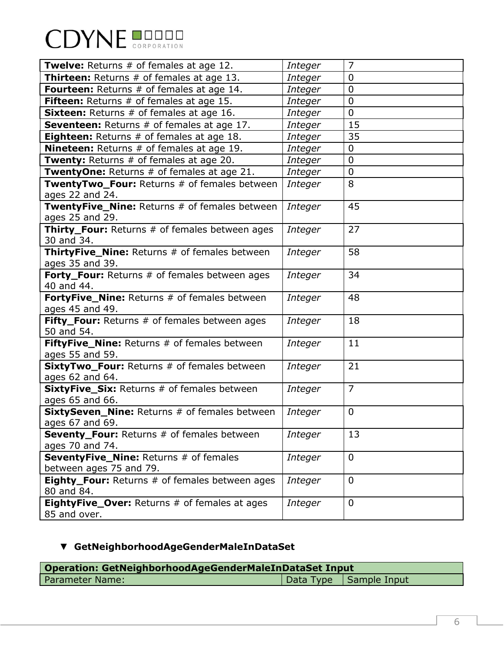| <b>CDYNE BUDDER</b> |  |
|---------------------|--|
|                     |  |

| <b>Twelve:</b> Returns # of females at age 12.                            | Integer        | $\overline{7}$ |
|---------------------------------------------------------------------------|----------------|----------------|
| Thirteen: Returns # of females at age 13.                                 | Integer        | $\overline{0}$ |
| <b>Fourteen:</b> Returns # of females at age 14.                          | Integer        | $\overline{0}$ |
| <b>Fifteen:</b> Returns # of females at age 15.                           | Integer        | $\overline{0}$ |
| <b>Sixteen:</b> Returns # of females at age 16.                           | Integer        | 0              |
| <b>Seventeen:</b> Returns # of females at age 17.                         | Integer        | 15             |
| <b>Eighteen:</b> Returns # of females at age 18.                          | Integer        | 35             |
| <b>Nineteen:</b> Returns # of females at age 19.                          | Integer        | 0              |
| <b>Twenty:</b> Returns # of females at age 20.                            | Integer        | $\overline{0}$ |
| TwentyOne: Returns # of females at age 21.                                | Integer        | $\overline{0}$ |
| TwentyTwo_Four: Returns # of females between                              | Integer        | 8              |
| ages 22 and 24.                                                           |                |                |
| TwentyFive_Nine: Returns # of females between<br>ages 25 and 29.          | Integer        | 45             |
| <b>Thirty_Four:</b> Returns # of females between ages                     | Integer        | 27             |
| 30 and 34.                                                                |                |                |
| <b>ThirtyFive_Nine:</b> Returns # of females between                      | Integer        | 58             |
| ages 35 and 39.                                                           |                |                |
| Forty_Four: Returns # of females between ages                             | Integer        | 34             |
| 40 and 44.                                                                |                |                |
| FortyFive_Nine: Returns # of females between                              | Integer        | 48             |
| ages 45 and 49.                                                           |                |                |
| Fifty_Four: Returns # of females between ages                             | Integer        | 18             |
| 50 and 54.                                                                |                |                |
| <b>FiftyFive_Nine:</b> Returns # of females between                       | Integer        | 11             |
| ages 55 and 59.                                                           |                |                |
| SixtyTwo_Four: Returns # of females between                               | Integer        | 21             |
| ages 62 and 64.                                                           |                |                |
| <b>SixtyFive_Six:</b> Returns # of females between                        | Integer        | $\overline{7}$ |
| ages 65 and 66.                                                           |                |                |
| <b>SixtySeven_Nine:</b> Returns # of females between                      | <b>Integer</b> | 0              |
| ages 67 and 69.                                                           |                |                |
| <b>Seventy_Four:</b> Returns # of females between                         | Integer        | 13             |
| ages 70 and 74.                                                           |                |                |
| SeventyFive_Nine: Returns # of females                                    | Integer        | $\mathbf 0$    |
| between ages 75 and 79.<br>Eighty_Four: Returns # of females between ages |                | $\mathbf 0$    |
| 80 and 84.                                                                | Integer        |                |
| <b>EightyFive_Over:</b> Returns # of females at ages                      | Integer        | $\mathbf 0$    |
|                                                                           |                |                |
| 85 and over.                                                              |                |                |

# ▼ **GetNeighborhoodAgeGenderMaleInDataSet**

| Operation: GetNeighborhoodAgeGenderMaleInDataSet Input |  |                          |  |
|--------------------------------------------------------|--|--------------------------|--|
| Parameter Name:                                        |  | Data Type   Sample Input |  |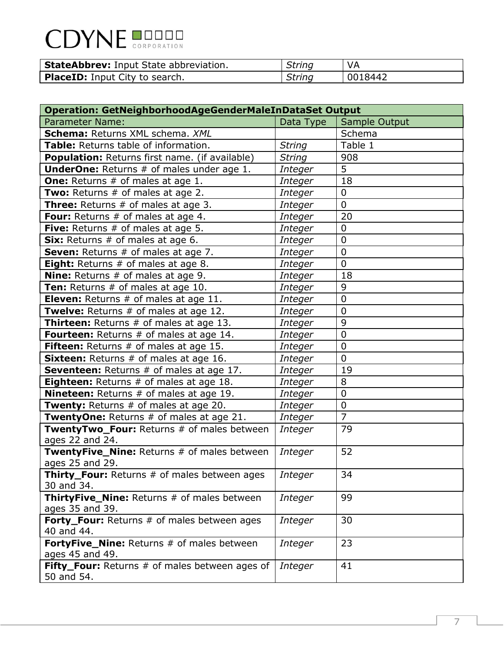| <b>CDYNE BUDDER</b> |  |
|---------------------|--|
|                     |  |

| <b>StateAbbrev: Input State abbreviation.</b> | <b>String</b> |         |
|-----------------------------------------------|---------------|---------|
| <b>PlaceID:</b> Input City to search.         | <b>String</b> | 0018442 |

| <b>Operation: GetNeighborhoodAgeGenderMaleInDataSet Output</b>        |                |                |  |
|-----------------------------------------------------------------------|----------------|----------------|--|
| <b>Parameter Name:</b>                                                | Data Type      | Sample Output  |  |
| Schema: Returns XML schema. XML                                       |                | Schema         |  |
| Table: Returns table of information.                                  | <b>String</b>  | Table 1        |  |
| <b>Population:</b> Returns first name. (if available)                 | <b>String</b>  | 908            |  |
| <b>UnderOne:</b> Returns # of males under age 1.                      | Integer        | 5              |  |
| <b>One:</b> Returns # of males at age 1.                              | Integer        | 18             |  |
| <b>Two:</b> Returns # of males at age 2.                              | Integer        | $\mathbf 0$    |  |
| Three: Returns # of males at age 3.                                   | <b>Integer</b> | $\overline{0}$ |  |
| <b>Four:</b> Returns # of males at age 4.                             | Integer        | 20             |  |
| Five: Returns # of males at age 5.                                    | Integer        | $\overline{0}$ |  |
| Six: Returns # of males at age 6.                                     | Integer        | $\overline{0}$ |  |
| <b>Seven:</b> Returns # of males at age 7.                            | Integer        | $\overline{0}$ |  |
| <b>Eight:</b> Returns # of males at age 8.                            | Integer        | $\Omega$       |  |
| <b>Nine:</b> Returns # of males at age 9.                             | Integer        | 18             |  |
| Ten: Returns # of males at age 10.                                    | Integer        | 9              |  |
| <b>Eleven:</b> Returns # of males at age 11.                          | Integer        | $\mathbf 0$    |  |
| <b>Twelve:</b> Returns # of males at age 12.                          | Integer        | $\overline{0}$ |  |
| <b>Thirteen:</b> Returns # of males at age 13.                        | Integer        | 9              |  |
| <b>Fourteen:</b> Returns # of males at age 14.                        | Integer        | $\overline{0}$ |  |
| Fifteen: Returns # of males at age 15.                                | Integer        | $\overline{0}$ |  |
| Sixteen: Returns # of males at age 16.                                | Integer        | $\mathbf 0$    |  |
| Seventeen: Returns # of males at age 17.                              | Integer        | 19             |  |
| <b>Eighteen:</b> Returns # of males at age 18.                        | Integer        | 8              |  |
| <b>Nineteen:</b> Returns # of males at age 19.                        | Integer        | $\overline{0}$ |  |
| <b>Twenty:</b> Returns # of males at age 20.                          | Integer        | $\mathbf 0$    |  |
| TwentyOne: Returns # of males at age 21.                              | Integer        | $\overline{7}$ |  |
| TwentyTwo_Four: Returns # of males between<br>ages 22 and 24.         | Integer        | 79             |  |
| <b>TwentyFive Nine: Returns # of males between</b><br>ages 25 and 29. | Integer        | 52             |  |
| Thirty_Four: Returns # of males between ages                          | Integer        | 34             |  |
| 30 and 34.                                                            |                |                |  |
| ThirtyFive_Nine: Returns # of males between<br>ages 35 and 39.        | Integer        | 99             |  |
| Forty_Four: Returns # of males between ages<br>40 and 44.             | Integer        | 30             |  |
| FortyFive_Nine: Returns # of males between<br>ages 45 and 49.         | Integer        | 23             |  |
| Fifty_Four: Returns # of males between ages of<br>50 and 54.          | Integer        | 41             |  |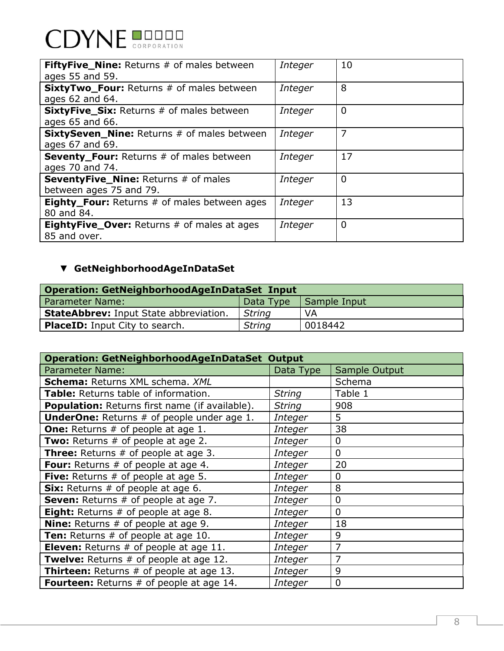# **CDYNE DODER**

| <b>FiftyFive_Nine:</b> Returns # of males between<br>ages 55 and 59.   | Integer        | 10             |
|------------------------------------------------------------------------|----------------|----------------|
| <b>SixtyTwo_Four:</b> Returns # of males between<br>ages 62 and 64.    | <b>Integer</b> | 8              |
| <b>SixtyFive_Six:</b> Returns # of males between<br>ages 65 and 66.    | Integer        | $\overline{0}$ |
| <b>SixtySeven_Nine:</b> Returns # of males between<br>ages 67 and 69.  | Integer        | 7              |
| Seventy_Four: Returns # of males between<br>ages 70 and 74.            | Integer        | 17             |
| <b>SeventyFive_Nine: Returns # of males</b><br>between ages 75 and 79. | <b>Integer</b> | 0              |
| <b>Eighty_Four:</b> Returns # of males between ages<br>80 and 84.      | <b>Integer</b> | 13             |
| <b>EightyFive_Over:</b> Returns # of males at ages<br>85 and over.     | Integer        | $\overline{0}$ |

## ▼ **GetNeighborhoodAgeInDataSet**

| Operation: GetNeighborhoodAgeInDataSet Input  |               |              |  |
|-----------------------------------------------|---------------|--------------|--|
| l Parameter Name:                             | Data Type     | Sample Input |  |
| <b>StateAbbrev: Input State abbreviation.</b> | String        | VA.          |  |
| <b>PlaceID:</b> Input City to search.         | <b>String</b> | 0018442      |  |

| <b>Operation: GetNeighborhoodAgeInDataSet Output</b> |               |                |  |
|------------------------------------------------------|---------------|----------------|--|
| <b>Parameter Name:</b>                               | Data Type     | Sample Output  |  |
| <b>Schema: Returns XML schema. XML</b>               |               | Schema         |  |
| Table: Returns table of information.                 | <b>String</b> | Table 1        |  |
| Population: Returns first name (if available).       | <b>String</b> | 908            |  |
| <b>UnderOne:</b> Returns # of people under age 1.    | Integer       | 5              |  |
| <b>One:</b> Returns # of people at age 1.            | Integer       | 38             |  |
| Two: Returns # of people at age 2.                   | Integer       | 0              |  |
| <b>Three:</b> Returns # of people at age 3.          | Integer       | 0              |  |
| <b>Four:</b> Returns # of people at age 4.           | Integer       | 20             |  |
| <b>Five:</b> Returns $#$ of people at age 5.         | Integer       | 0              |  |
| Six: Returns # of people at age 6.                   | Integer       | 8              |  |
| <b>Seven:</b> Returns # of people at age 7.          | Integer       | $\overline{0}$ |  |
| <b>Eight:</b> Returns # of people at age 8.          | Integer       | $\overline{0}$ |  |
| <b>Nine:</b> Returns # of people at age 9.           | Integer       | 18             |  |
| <b>Ten:</b> Returns # of people at age 10.           | Integer       | 9              |  |
| <b>Eleven:</b> Returns $#$ of people at age 11.      | Integer       | 7              |  |
| <b>Twelve:</b> Returns # of people at age 12.        | Integer       | 7              |  |
| <b>Thirteen:</b> Returns # of people at age 13.      | Integer       | 9              |  |
| <b>Fourteen:</b> Returns # of people at age 14.      | Integer       | $\mathbf{0}$   |  |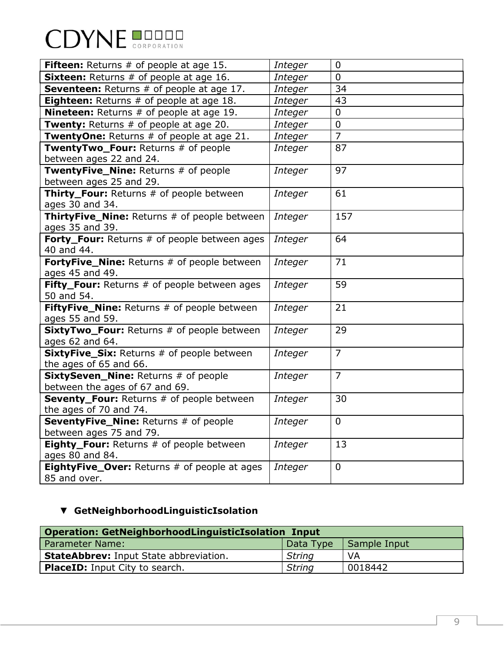| <b>CDYNE BUDDER</b> |  |
|---------------------|--|
|                     |  |

| <b>Fifteen:</b> Returns # of people at age 15.                          | <i>Integer</i> | $\overline{0}$ |
|-------------------------------------------------------------------------|----------------|----------------|
| <b>Sixteen:</b> Returns # of people at age 16.                          | <b>Integer</b> | $\mathbf 0$    |
| Seventeen: Returns # of people at age 17.                               | <b>Integer</b> | 34             |
| <b>Eighteen:</b> Returns # of people at age 18.                         | <i>Integer</i> | 43             |
| <b>Nineteen:</b> Returns # of people at age 19.                         | <b>Integer</b> | $\mathbf 0$    |
| Twenty: Returns # of people at age 20.                                  | <b>Integer</b> | 0              |
| TwentyOne: Returns # of people at age 21.                               | <b>Integer</b> | $\overline{7}$ |
| TwentyTwo_Four: Returns # of people<br>between ages 22 and 24.          | <b>Integer</b> | 87             |
| TwentyFive_Nine: Returns # of people<br>between ages 25 and 29.         | <b>Integer</b> | 97             |
| Thirty_Four: Returns # of people between<br>ages 30 and 34.             | <b>Integer</b> | 61             |
| ThirtyFive_Nine: Returns # of people between<br>ages 35 and 39.         | <b>Integer</b> | 157            |
| Forty_Four: Returns # of people between ages<br>40 and 44.              | <b>Integer</b> | 64             |
| FortyFive_Nine: Returns # of people between<br>ages 45 and 49.          | <b>Integer</b> | 71             |
| Fifty_Four: Returns # of people between ages<br>50 and 54.              | <b>Integer</b> | 59             |
| FiftyFive_Nine: Returns # of people between<br>ages 55 and 59.          | <b>Integer</b> | 21             |
| SixtyTwo_Four: Returns # of people between<br>ages 62 and 64.           | <b>Integer</b> | 29             |
| SixtyFive_Six: Returns # of people between<br>the ages of 65 and 66.    | <b>Integer</b> | $\overline{7}$ |
| SixtySeven_Nine: Returns # of people<br>between the ages of 67 and 69.  | <b>Integer</b> | $\overline{7}$ |
| Seventy_Four: Returns # of people between<br>the ages of 70 and 74.     | <b>Integer</b> | 30             |
| <b>SeventyFive_Nine: Returns # of people</b><br>between ages 75 and 79. | <b>Integer</b> | $\overline{0}$ |
| Eighty_Four: Returns # of people between<br>ages 80 and 84.             | <b>Integer</b> | 13             |
| <b>EightyFive_Over:</b> Returns # of people at ages<br>85 and over.     | <b>Integer</b> | $\mathbf 0$    |

# ▼ **GetNeighborhoodLinguisticIsolation**

| Operation: GetNeighborhoodLinguisticIsolation Input |               |              |  |
|-----------------------------------------------------|---------------|--------------|--|
| Parameter Name:                                     | 'Data Type    | Sample Input |  |
| <b>StateAbbrev: Input State abbreviation.</b>       | String        | VA           |  |
| <b>PlaceID:</b> Input City to search.               | <b>String</b> | 0018442      |  |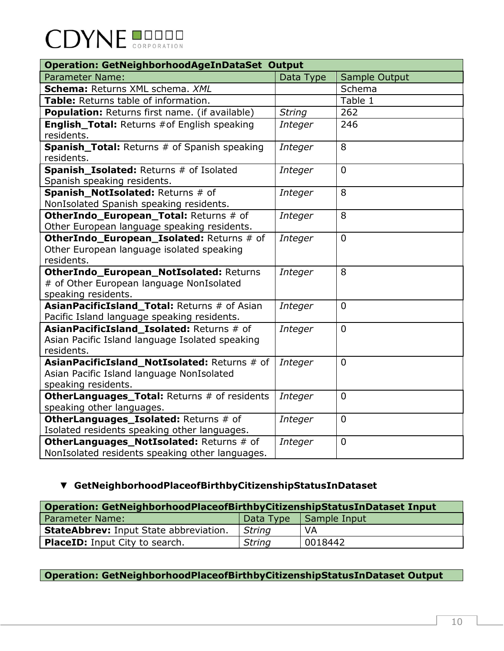| <b>Operation: GetNeighborhoodAgeInDataSet Output</b>    |                |                |  |
|---------------------------------------------------------|----------------|----------------|--|
| <b>Parameter Name:</b>                                  | Data Type      | Sample Output  |  |
| Schema: Returns XML schema. XML                         |                | Schema         |  |
| Table: Returns table of information.                    |                | Table 1        |  |
| Population: Returns first name. (if available)          | <b>String</b>  | 262            |  |
| <b>English_Total: Returns #of English speaking</b>      | Integer        | 246            |  |
| residents.                                              |                |                |  |
| <b>Spanish_Total:</b> Returns # of Spanish speaking     | <b>Integer</b> | 8              |  |
| residents.                                              |                |                |  |
| Spanish_Isolated: Returns # of Isolated                 | Integer        | $\Omega$       |  |
| Spanish speaking residents.                             |                |                |  |
| Spanish_NotIsolated: Returns # of                       | Integer        | 8              |  |
| NonIsolated Spanish speaking residents.                 |                |                |  |
| OtherIndo_European_Total: Returns # of                  | Integer        | 8              |  |
| Other European language speaking residents.             |                |                |  |
| OtherIndo_European_Isolated: Returns # of               | <b>Integer</b> | $\Omega$       |  |
| Other European language isolated speaking<br>residents. |                |                |  |
| OtherIndo_European_NotIsolated: Returns                 |                | 8              |  |
| # of Other European language NonIsolated                | Integer        |                |  |
| speaking residents.                                     |                |                |  |
| AsianPacificIsland_Total: Returns # of Asian            | Integer        | $\Omega$       |  |
| Pacific Island language speaking residents.             |                |                |  |
| AsianPacificIsland Isolated: Returns # of               | Integer        | $\Omega$       |  |
| Asian Pacific Island language Isolated speaking         |                |                |  |
| residents.                                              |                |                |  |
| AsianPacificIsland_NotIsolated: Returns # of            | Integer        | $\overline{0}$ |  |
| Asian Pacific Island language NonIsolated               |                |                |  |
| speaking residents.                                     |                |                |  |
| OtherLanguages_Total: Returns # of residents            | Integer        | $\Omega$       |  |
| speaking other languages.                               |                |                |  |
| OtherLanguages_Isolated: Returns # of                   | Integer        | $\Omega$       |  |
| Isolated residents speaking other languages.            |                |                |  |
| OtherLanguages_NotIsolated: Returns # of                | Integer        | $\overline{0}$ |  |
| NonIsolated residents speaking other languages.         |                |                |  |

### ▼ **GetNeighborhoodPlaceofBirthbyCitizenshipStatusInDataset**

| Operation: GetNeighborhoodPlaceofBirthbyCitizenshipStatusInDataset Input |               |              |  |
|--------------------------------------------------------------------------|---------------|--------------|--|
| <b>Parameter Name:</b>                                                   | 'Data Type    | Sample Input |  |
| <b>StateAbbrev: Input State abbreviation.</b>                            | <b>String</b> | VA           |  |
| <b>PlaceID:</b> Input City to search.                                    | <b>String</b> | 0018442      |  |

### **Operation: GetNeighborhoodPlaceofBirthbyCitizenshipStatusInDataset Output**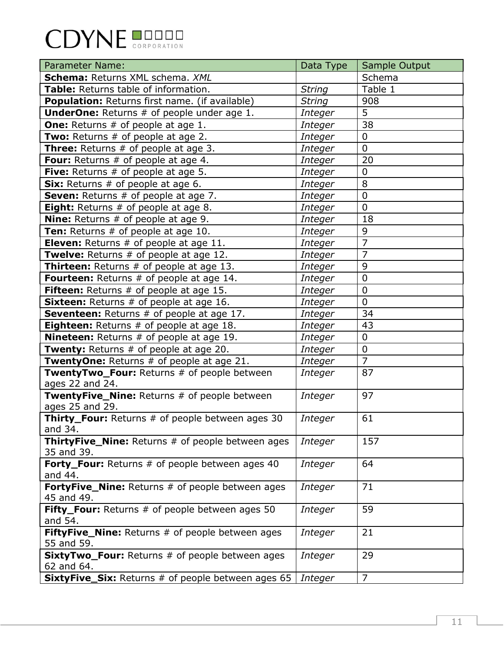| <b>Parameter Name:</b>                                                 | Data Type      | Sample Output  |
|------------------------------------------------------------------------|----------------|----------------|
| Schema: Returns XML schema. XML                                        |                | Schema         |
| Table: Returns table of information.                                   | <b>String</b>  | Table 1        |
| Population: Returns first name. (if available)                         | <b>String</b>  | 908            |
| <b>UnderOne:</b> Returns # of people under age 1.                      | Integer        | 5              |
| <b>One:</b> Returns # of people at age 1.                              | Integer        | 38             |
| Two: Returns # of people at age 2.                                     | <b>Integer</b> | 0              |
| <b>Three:</b> Returns # of people at age 3.                            | Integer        | 0              |
| <b>Four:</b> Returns # of people at age 4.                             | <b>Integer</b> | 20             |
| <b>Five:</b> Returns $#$ of people at age 5.                           | Integer        | 0              |
| Six: Returns # of people at age 6.                                     | <b>Integer</b> | 8              |
| Seven: Returns # of people at age 7.                                   | <b>Integer</b> | $\overline{0}$ |
| <b>Eight:</b> Returns # of people at age 8.                            | Integer        | $\mathbf 0$    |
| <b>Nine:</b> Returns # of people at age 9.                             | <b>Integer</b> | 18             |
| Ten: Returns # of people at age 10.                                    | Integer        | 9              |
| Eleven: Returns # of people at age 11.                                 | <b>Integer</b> | $\overline{7}$ |
| Twelve: Returns # of people at age 12.                                 | <b>Integer</b> | $\overline{7}$ |
| <b>Thirteen:</b> Returns # of people at age 13.                        | Integer        | 9              |
| Fourteen: Returns # of people at age 14.                               | <b>Integer</b> | $\overline{0}$ |
| <b>Fifteen:</b> Returns # of people at age 15.                         | Integer        | $\overline{0}$ |
| <b>Sixteen:</b> Returns # of people at age 16.                         | <b>Integer</b> | 0              |
| Seventeen: Returns # of people at age 17.                              | <b>Integer</b> | 34             |
| <b>Eighteen:</b> Returns # of people at age 18.                        | Integer        | 43             |
| <b>Nineteen:</b> Returns # of people at age 19.                        | Integer        | $\overline{0}$ |
| <b>Twenty:</b> Returns # of people at age 20.                          | Integer        | $\overline{0}$ |
| TwentyOne: Returns # of people at age 21.                              | Integer        | $\overline{7}$ |
| TwentyTwo_Four: Returns # of people between<br>ages 22 and 24.         | <b>Integer</b> | 87             |
| TwentyFive_Nine: Returns # of people between<br>ages 25 and 29.        | Integer        | 97             |
| <b>Thirty_Four:</b> Returns # of people between ages 30<br>and 34.     | Integer        | 61             |
| <b>ThirtyFive_Nine:</b> Returns # of people between ages<br>35 and 39. | Integer        | 157            |
| Forty_Four: Returns # of people between ages 40<br>and 44.             | Integer        | 64             |
| <b>FortyFive_Nine:</b> Returns # of people between ages<br>45 and 49.  | Integer        | 71             |
| Fifty_Four: Returns # of people between ages 50<br>and 54.             | Integer        | 59             |
| FiftyFive_Nine: Returns # of people between ages<br>55 and 59.         | Integer        | 21             |
| <b>SixtyTwo_Four:</b> Returns # of people between ages<br>62 and 64.   | Integer        | 29             |
| <b>SixtyFive_Six:</b> Returns # of people between ages 65              | Integer        | 7              |
|                                                                        |                |                |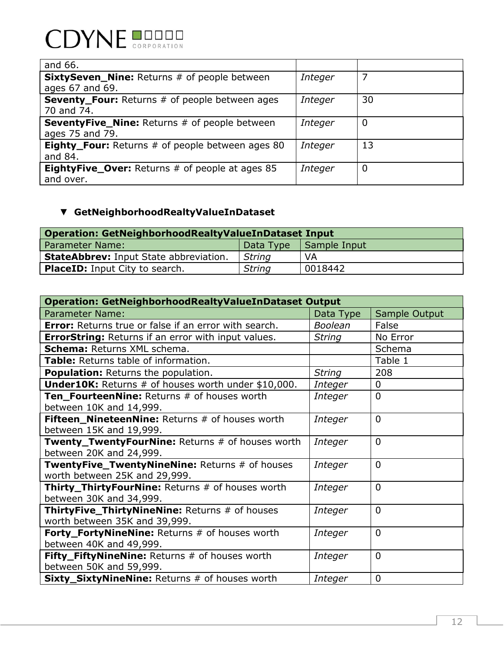| and 66.                                                 |                |    |
|---------------------------------------------------------|----------------|----|
| <b>SixtySeven_Nine:</b> Returns # of people between     | Integer        |    |
| ages 67 and 69.                                         |                |    |
| <b>Seventy_Four:</b> Returns # of people between ages   | Integer        | 30 |
| 70 and 74.                                              |                |    |
| <b>SeventyFive_Nine:</b> Returns # of people between    | Integer        |    |
| ages 75 and 79.                                         |                |    |
| <b>Eighty_Four:</b> Returns # of people between ages 80 | Integer        | 13 |
| and 84.                                                 |                |    |
| <b>EightyFive_Over:</b> Returns # of people at ages 85  | <b>Integer</b> | 0  |
| and over.                                               |                |    |

## ▼ **GetNeighborhoodRealtyValueInDataset**

| <b>Operation: GetNeighborhoodRealtyValueInDataset Input</b> |               |              |  |
|-------------------------------------------------------------|---------------|--------------|--|
| <b>Parameter Name:</b>                                      | Data Type     | Sample Input |  |
| <b>StateAbbrev: Input State abbreviation.</b>               | <b>String</b> | VA           |  |
| <b>PlaceID:</b> Input City to search.                       | <b>String</b> | 0018442      |  |

| <b>Operation: GetNeighborhoodRealtyValueInDataset Output</b>                           |                |                |  |
|----------------------------------------------------------------------------------------|----------------|----------------|--|
| <b>Parameter Name:</b>                                                                 | Data Type      | Sample Output  |  |
| <b>Error:</b> Returns true or false if an error with search.                           | <b>Boolean</b> | False          |  |
| <b>ErrorString:</b> Returns if an error with input values.                             | <b>String</b>  | No Error       |  |
| <b>Schema: Returns XML schema.</b>                                                     |                | Schema         |  |
| <b>Table:</b> Returns table of information.                                            |                | Table 1        |  |
| <b>Population:</b> Returns the population.                                             | <b>String</b>  | 208            |  |
| <b>Under10K:</b> Returns $#$ of houses worth under $$10,000$ .                         | Integer        | 0              |  |
| Ten_FourteenNine: Returns # of houses worth<br>between 10K and 14,999.                 | Integer        | $\Omega$       |  |
| <b>Fifteen NineteenNine: Returns # of houses worth</b><br>between 15K and 19,999.      | Integer        | $\mathbf{0}$   |  |
| Twenty_TwentyFourNine: Returns # of houses worth<br>between 20K and 24,999.            | Integer        | $\Omega$       |  |
| TwentyFive_TwentyNineNine: Returns # of houses<br>worth between 25K and 29,999.        | Integer        | $\mathbf{0}$   |  |
| <b>Thirty_ThirtyFourNine: Returns # of houses worth</b><br>between 30K and 34,999.     | Integer        | $\mathbf{0}$   |  |
| <b>ThirtyFive_ThirtyNineNine:</b> Returns # of houses<br>worth between 35K and 39,999. | Integer        | $\overline{0}$ |  |
| <b>Forty_FortyNineNine:</b> Returns # of houses worth<br>between 40K and 49,999.       | Integer        | $\mathbf{0}$   |  |
| Fifty_FiftyNineNine: Returns # of houses worth<br>between 50K and 59,999.              | Integer        | $\mathbf{0}$   |  |
| <b>Sixty_SixtyNineNine:</b> Returns # of houses worth                                  | Integer        | $\mathbf 0$    |  |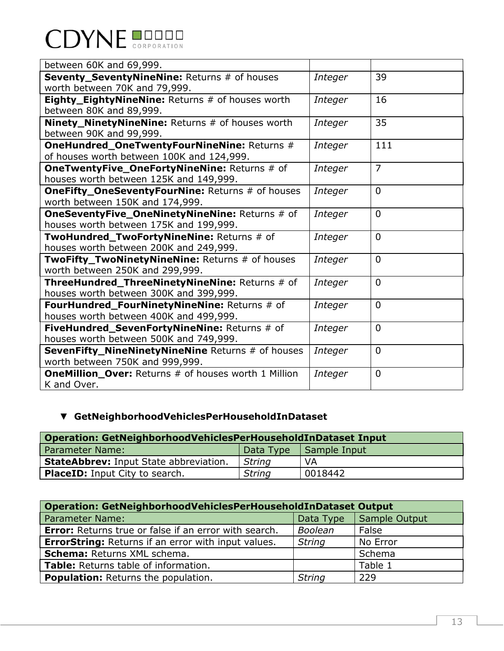| <b>CDYNE BUDDER</b> |  |
|---------------------|--|
|                     |  |

| between 60K and 69,999.                                                                         |         |                |
|-------------------------------------------------------------------------------------------------|---------|----------------|
| Seventy_SeventyNineNine: Returns # of houses<br>worth between 70K and 79,999.                   | Integer | 39             |
| Eighty_EightyNineNine: Returns # of houses worth<br>between 80K and 89,999.                     | Integer | 16             |
| Ninety_NinetyNineNine: Returns # of houses worth<br>between 90K and 99,999.                     | Integer | 35             |
| <b>OneHundred_OneTwentyFourNineNine: Returns #</b><br>of houses worth between 100K and 124,999. | Integer | 111            |
| <b>OneTwentyFive_OneFortyNineNine: Returns # of</b><br>houses worth between 125K and 149,999.   | Integer | $\overline{7}$ |
| <b>OneFifty_OneSeventyFourNine: Returns # of houses</b><br>worth between 150K and 174,999.      | Integer | $\overline{0}$ |
| <b>OneSeventyFive_OneNinetyNineNine: Returns # of</b><br>houses worth between 175K and 199,999. | Integer | $\Omega$       |
| TwoHundred_TwoFortyNineNine: Returns # of<br>houses worth between 200K and 249,999.             | Integer | $\Omega$       |
| TwoFifty_TwoNinetyNineNine: Returns # of houses<br>worth between 250K and 299,999.              | Integer | $\Omega$       |
| ThreeHundred_ThreeNinetyNineNine: Returns # of<br>houses worth between 300K and 399,999.        | Integer | $\Omega$       |
| FourHundred_FourNinetyNineNine: Returns # of<br>houses worth between 400K and 499,999.          | Integer | $\overline{0}$ |
| FiveHundred_SevenFortyNineNine: Returns # of<br>houses worth between 500K and 749,999.          | Integer | $\Omega$       |
| <b>SevenFifty_NineNinetyNineNine</b> Returns # of houses<br>worth between 750K and 999,999.     | Integer | $\overline{0}$ |
| <b>OneMillion_Over: Returns # of houses worth 1 Million</b><br>K and Over.                      | Integer | $\overline{0}$ |

## ▼ **GetNeighborhoodVehiclesPerHouseholdInDataset**

| Operation: GetNeighborhoodVehiclesPerHouseholdInDataset Input |               |              |  |
|---------------------------------------------------------------|---------------|--------------|--|
| <b>Parameter Name:</b>                                        | Data Type     | Sample Input |  |
| <b>StateAbbrev: Input State abbreviation.</b>                 | String        | VA           |  |
| <b>PlaceID:</b> Input City to search.                         | <b>String</b> | 0018442      |  |

| $\mid$ Operation: GetNeighborhoodVehiclesPerHouseholdInDataset Output |                |               |  |  |
|-----------------------------------------------------------------------|----------------|---------------|--|--|
| <b>Parameter Name:</b>                                                | Data Type      | Sample Output |  |  |
| <b>Error:</b> Returns true or false if an error with search.          | <b>Boolean</b> | False         |  |  |
| <b>ErrorString:</b> Returns if an error with input values.            | <b>String</b>  | No Error      |  |  |
| Schema: Returns XML schema.                                           |                | Schema        |  |  |
| Table: Returns table of information.                                  |                | Table 1       |  |  |
| <b>Population:</b> Returns the population.                            | <b>String</b>  | 229           |  |  |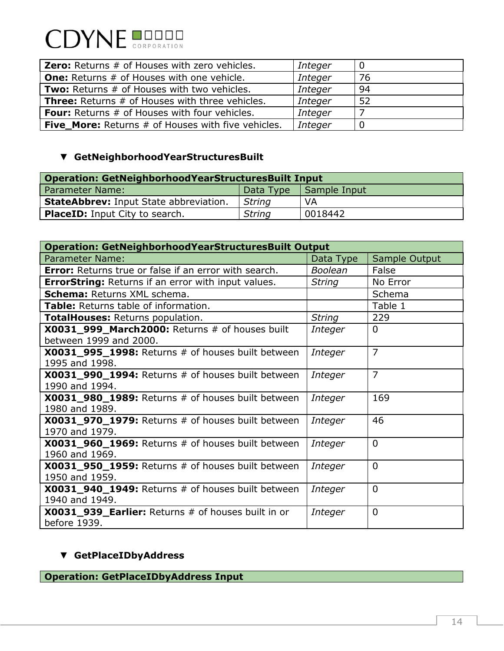

| <b>Zero:</b> Returns # of Houses with zero vehicles.      | Integer        | - 0 |
|-----------------------------------------------------------|----------------|-----|
| <b>One:</b> Returns # of Houses with one vehicle.         | Integer        | 76  |
| <b>Two:</b> Returns # of Houses with two vehicles.        | <b>Integer</b> | -94 |
| <b>Three:</b> Returns # of Houses with three vehicles.    | <b>Integer</b> | -52 |
| <b>Four:</b> Returns # of Houses with four vehicles.      | <b>Integer</b> |     |
| <b>Five_More:</b> Returns # of Houses with five vehicles. | <b>Integer</b> | - 0 |

### ▼ **GetNeighborhoodYearStructuresBuilt**

| Operation: GetNeighborhoodYearStructuresBuilt Input |               |              |  |
|-----------------------------------------------------|---------------|--------------|--|
| <b>Parameter Name:</b>                              | Data Type     | Sample Input |  |
| <b>StateAbbrev: Input State abbreviation.</b>       | <b>String</b> | VA           |  |
| <b>PlaceID:</b> Input City to search.               | <b>String</b> | 0018442      |  |

| <b>Operation: GetNeighborhoodYearStructuresBuilt Output</b>                   |                |                |  |
|-------------------------------------------------------------------------------|----------------|----------------|--|
| Parameter Name:                                                               | Data Type      | Sample Output  |  |
| <b>Error:</b> Returns true or false if an error with search.                  | <b>Boolean</b> | False          |  |
| <b>ErrorString:</b> Returns if an error with input values.                    | <b>String</b>  | No Error       |  |
| <b>Schema: Returns XML schema.</b>                                            |                | Schema         |  |
| Table: Returns table of information.                                          |                | Table 1        |  |
| <b>TotalHouses: Returns population.</b>                                       | <b>String</b>  | 229            |  |
| $X0031$ 999 March 2000: Returns $#$ of houses built<br>between 1999 and 2000. | Integer        | $\Omega$       |  |
| $X0031$ 995 1998: Returns $#$ of houses built between<br>1995 and 1998.       | Integer        | $\overline{7}$ |  |
| <b>X0031_990_1994:</b> Returns # of houses built between<br>1990 and 1994.    | Integer        | $\overline{7}$ |  |
| <b>X0031_980_1989:</b> Returns # of houses built between<br>1980 and 1989.    | Integer        | 169            |  |
| X0031_970_1979: Returns # of houses built between<br>1970 and 1979.           | Integer        | 46             |  |
| <b>X0031_960_1969:</b> Returns # of houses built between<br>1960 and 1969.    | Integer        | $\Omega$       |  |
| <b>X0031_950_1959:</b> Returns # of houses built between<br>1950 and 1959.    | Integer        | $\Omega$       |  |
| <b>X0031_940_1949:</b> Returns # of houses built between<br>1940 and 1949.    | Integer        | $\Omega$       |  |
| X0031_939_Earlier: Returns # of houses built in or<br>before 1939.            | Integer        | 0              |  |

### ▼ **GetPlaceIDbyAddress**

**Operation: GetPlaceIDbyAddress Input**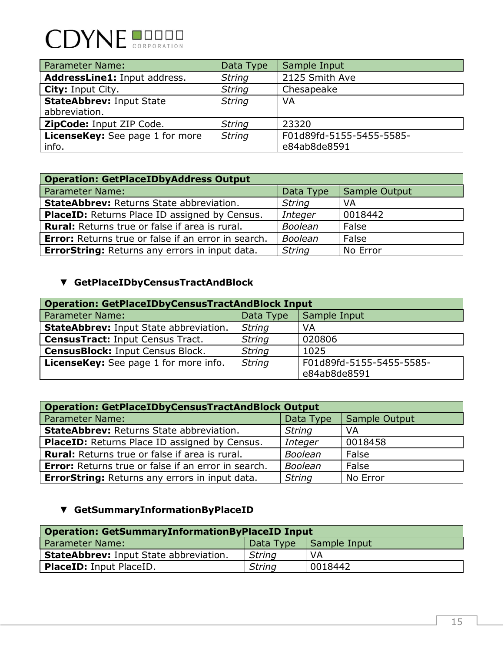# **CDYNE DODER**

| <b>Parameter Name:</b>                           | Data Type     | Sample Input                             |
|--------------------------------------------------|---------------|------------------------------------------|
| AddressLine1: Input address.                     | <b>String</b> | 2125 Smith Ave                           |
| <b>City: Input City.</b>                         | <b>String</b> | Chesapeake                               |
| <b>StateAbbrev: Input State</b><br>abbreviation. | <b>String</b> | VA                                       |
| ZipCode: Input ZIP Code.                         | <b>String</b> | 23320                                    |
| <b>LicenseKey:</b> See page 1 for more<br>info.  | <b>String</b> | F01d89fd-5155-5455-5585-<br>e84ab8de8591 |

| <b>Operation: GetPlaceIDbyAddress Output</b>               |                |               |  |
|------------------------------------------------------------|----------------|---------------|--|
| <b>Parameter Name:</b>                                     | Data Type      | Sample Output |  |
| <b>StateAbbrev: Returns State abbreviation.</b>            | <b>String</b>  | VA            |  |
| PlaceID: Returns Place ID assigned by Census.              | <b>Integer</b> | 0018442       |  |
| <b>Rural:</b> Returns true or false if area is rural.      | <b>Boolean</b> | False         |  |
| <b>Error:</b> Returns true or false if an error in search. | <b>Boolean</b> | False         |  |
| <b>ErrorString: Returns any errors in input data.</b>      | <b>String</b>  | No Error      |  |

## ▼ **GetPlaceIDbyCensusTractAndBlock**

| <b>Operation: GetPlaceIDbyCensusTractAndBlock Input</b> |               |                          |  |
|---------------------------------------------------------|---------------|--------------------------|--|
| <b>Parameter Name:</b>                                  | Data Type     | Sample Input             |  |
| <b>StateAbbrev: Input State abbreviation.</b>           | <b>String</b> | VA                       |  |
| <b>CensusTract: Input Census Tract.</b>                 | <b>String</b> | 020806                   |  |
| <b>CensusBlock: Input Census Block.</b>                 | <b>String</b> | 1025                     |  |
| <b>LicenseKey:</b> See page 1 for more info.            | <b>String</b> | F01d89fd-5155-5455-5585- |  |
|                                                         |               | e84ab8de8591             |  |

| <b>Operation: GetPlaceIDbyCensusTractAndBlock Output</b>   |                |               |  |
|------------------------------------------------------------|----------------|---------------|--|
| <b>Parameter Name:</b>                                     | Data Type      | Sample Output |  |
| <b>StateAbbrev: Returns State abbreviation.</b>            | <b>String</b>  | <b>VA</b>     |  |
| PlaceID: Returns Place ID assigned by Census.              | Integer        | 0018458       |  |
| <b>Rural:</b> Returns true or false if area is rural.      | <b>Boolean</b> | False         |  |
| <b>Error:</b> Returns true or false if an error in search. | <b>Boolean</b> | False         |  |
| <b>ErrorString: Returns any errors in input data.</b>      | <b>String</b>  | No Error      |  |

### ▼ **GetSummaryInformationByPlaceID**

| <b>Operation: GetSummaryInformationByPlaceID Input</b> |               |                          |  |
|--------------------------------------------------------|---------------|--------------------------|--|
| <b>Parameter Name:</b>                                 |               | Data Type   Sample Input |  |
| <b>StateAbbrev: Input State abbreviation.</b>          | <b>String</b> | <b>VA</b>                |  |
| <b>PlaceID:</b> Input PlaceID.                         | <b>String</b> | 0018442                  |  |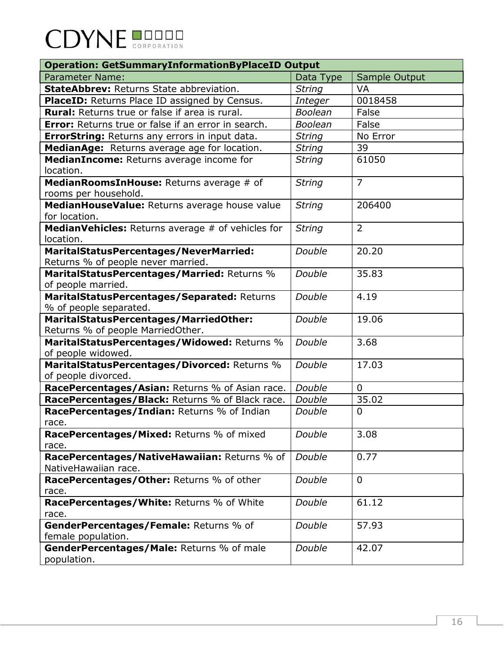| <b>Operation: GetSummaryInformationByPlaceID Output</b>                     |                |                |
|-----------------------------------------------------------------------------|----------------|----------------|
| <b>Parameter Name:</b>                                                      | Data Type      | Sample Output  |
| <b>StateAbbrev: Returns State abbreviation.</b>                             | <b>String</b>  | <b>VA</b>      |
| PlaceID: Returns Place ID assigned by Census.                               | Integer        | 0018458        |
| <b>Rural:</b> Returns true or false if area is rural.                       | <b>Boolean</b> | False          |
| <b>Error:</b> Returns true or false if an error in search.                  | <b>Boolean</b> | False          |
| <b>ErrorString: Returns any errors in input data.</b>                       | <b>String</b>  | No Error       |
| MedianAge: Returns average age for location.                                | <b>String</b>  | 39             |
| MedianIncome: Returns average income for                                    | <b>String</b>  | 61050          |
| location.                                                                   |                |                |
| MedianRoomsInHouse: Returns average # of                                    | <b>String</b>  | $\overline{7}$ |
| rooms per household.                                                        |                |                |
| MedianHouseValue: Returns average house value                               | <b>String</b>  | 206400         |
| for location.                                                               |                |                |
| MedianVehicles: Returns average # of vehicles for                           | <b>String</b>  | $\overline{2}$ |
| location.                                                                   |                |                |
| <b>MaritalStatusPercentages/NeverMarried:</b>                               | Double         | 20.20          |
| Returns % of people never married.                                          |                |                |
| MaritalStatusPercentages/Married: Returns %                                 | Double         | 35.83          |
| of people married.                                                          |                |                |
| MaritalStatusPercentages/Separated: Returns                                 | Double         | 4.19           |
| % of people separated.                                                      |                |                |
| MaritalStatusPercentages/MarriedOther:<br>Returns % of people MarriedOther. | Double         | 19.06          |
| MaritalStatusPercentages/Widowed: Returns %                                 | Double         | 3.68           |
| of people widowed.                                                          |                |                |
| MaritalStatusPercentages/Divorced: Returns %                                | Double         | 17.03          |
| of people divorced.                                                         |                |                |
| RacePercentages/Asian: Returns % of Asian race.                             | Double         | $\mathbf 0$    |
| RacePercentages/Black: Returns % of Black race.                             | Double         | 35.02          |
| RacePercentages/Indian: Returns % of Indian                                 | Double         | $\overline{0}$ |
| race.                                                                       |                |                |
| RacePercentages/Mixed: Returns % of mixed                                   | Double         | 3.08           |
| race.                                                                       |                |                |
| RacePercentages/NativeHawaiian: Returns % of                                | Double         | 0.77           |
| NativeHawaiian race.                                                        |                |                |
| RacePercentages/Other: Returns % of other                                   | Double         | $\mathbf 0$    |
| race.                                                                       |                |                |
| RacePercentages/White: Returns % of White                                   | Double         | 61.12          |
| race.                                                                       |                |                |
| GenderPercentages/Female: Returns % of                                      | Double         | 57.93          |
| female population.                                                          |                |                |
| GenderPercentages/Male: Returns % of male                                   | Double         | 42.07          |
| population.                                                                 |                |                |